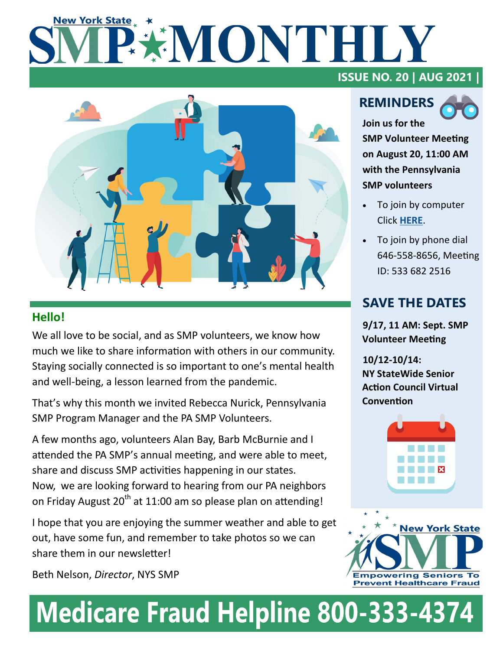# **New York State** EXMONTHILY



### **Hello!**

We all love to be social, and as SMP volunteers, we know how much we like to share information with others in our community. Staying socially connected is so important to one's mental health and well-being, a lesson learned from the pandemic.

That's why this month we invited Rebecca Nurick, Pennsylvania SMP Program Manager and the PA SMP Volunteers.

A few months ago, volunteers Alan Bay, Barb McBurnie and I attended the PA SMP's annual meeting, and were able to meet, share and discuss SMP activities happening in our states. Now, we are looking forward to hearing from our PA neighbors on Friday August  $20<sup>th</sup>$  at 11:00 am so please plan on attending!

I hope that you are enjoying the summer weather and able to get out, have some fun, and remember to take photos so we can share them in our newsletter!

Beth Nelson, *Director*, NYS SMP

## **ISSUE NO. 20 | AUG 2021 |**

# **REMINDERS**



**Join us for the SMP Volunteer Meeting on August 20, 11:00 AM with the Pennsylvania SMP volunteers** 

- To join by computer Click **[HERE](https://us02web.zoom.us/j/5336822516)**.
- To join by phone dial 646-558-8656, Meeting ID: 533 682 2516

# **SAVE THE DATES**

**9/17, 11 AM: Sept. SMP Volunteer Meeting**

**10/12-10/14: NY StateWide Senior Action Council Virtual Convention**





# **Medicare Fraud Helpline 800-333-4374**